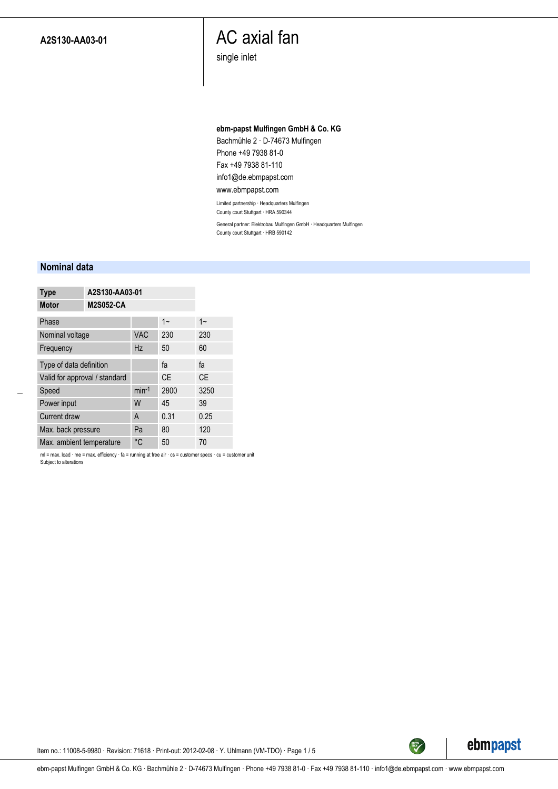### AC axial fan

single inlet

#### **ebm-papst Mulfingen GmbH & Co. KG**

Bachmühle 2 · D-74673 Mulfingen Phone +49 7938 81-0 Fax +49 7938 81-110 info1@de.ebmpapst.com

#### www.ebmpapst.com

Limited partnership · Headquarters Mulfingen County court Stuttgart · HRA 590344

General partner: Elektrobau Mulfingen GmbH · Headquarters Mulfingen County court Stuttgart · HRB 590142

#### **Nominal data**

| <b>Type</b>                   | A2S130-AA03-01   |            |           |           |
|-------------------------------|------------------|------------|-----------|-----------|
| <b>Motor</b>                  | <b>M2S052-CA</b> |            |           |           |
| Phase                         |                  |            | $1 -$     | $1 -$     |
| Nominal voltage               |                  | <b>VAC</b> | 230       | 230       |
| Frequency                     |                  | Hz         | 50        | 60        |
| Type of data definition       |                  | fa         | fa        |           |
| Valid for approval / standard |                  |            | <b>CE</b> | <b>CE</b> |
| Speed                         | $min-1$          | 2800       | 3250      |           |
| Power input                   |                  | W          | 45        | 39        |
| Current draw                  |                  | A          | 0.31      | 0.25      |
| Max. back pressure            |                  | Pa         | 80        | 120       |
| Max. ambient temperature      |                  | °C         | 50        | 70        |

ml = max. load · me = max. efficiency · fa = running at free air · cs = customer specs · cu = customer unit Subject to alterations



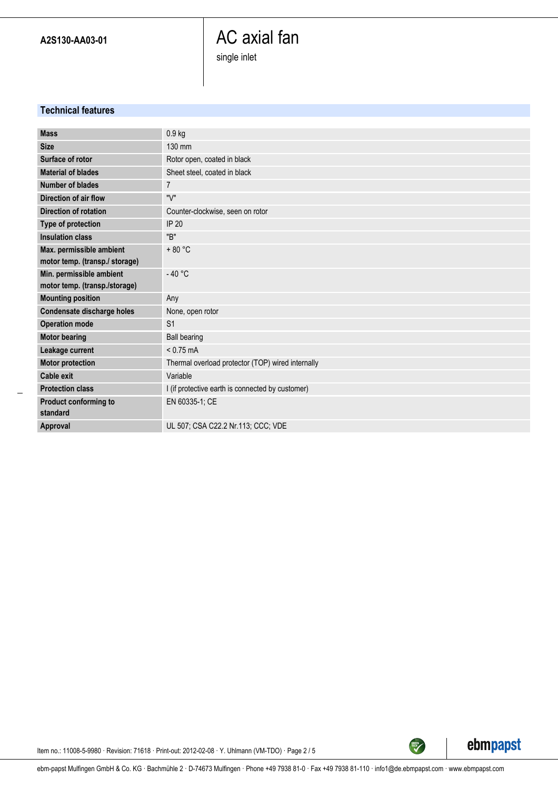## AC axial fan single inlet

**Technical features**

| <b>Mass</b>                    | $0.9$ kg                                          |
|--------------------------------|---------------------------------------------------|
| <b>Size</b>                    | 130 mm                                            |
| Surface of rotor               | Rotor open, coated in black                       |
| <b>Material of blades</b>      | Sheet steel, coated in black                      |
| Number of blades               | $\overline{7}$                                    |
| Direction of air flow          | "V"                                               |
| <b>Direction of rotation</b>   | Counter-clockwise, seen on rotor                  |
| Type of protection             | <b>IP 20</b>                                      |
| <b>Insulation class</b>        | "B"                                               |
| Max. permissible ambient       | $+80 °C$                                          |
| motor temp. (transp./ storage) |                                                   |
| Min. permissible ambient       | $-40 °C$                                          |
| motor temp. (transp./storage)  |                                                   |
| <b>Mounting position</b>       | Any                                               |
| Condensate discharge holes     | None, open rotor                                  |
| <b>Operation mode</b>          | S <sub>1</sub>                                    |
| <b>Motor bearing</b>           | <b>Ball bearing</b>                               |
| Leakage current                | $< 0.75$ mA                                       |
| <b>Motor protection</b>        | Thermal overload protector (TOP) wired internally |
| <b>Cable exit</b>              | Variable                                          |
| <b>Protection class</b>        | I (if protective earth is connected by customer)  |
| Product conforming to          | EN 60335-1; CE                                    |
| standard                       |                                                   |
| Approval                       | UL 507; CSA C22.2 Nr.113; CCC; VDE                |



Item no.: 11008-5-9980 · Revision: 71618 · Print-out: 2012-02-08 · Y. Uhlmann (VM-TDO) · Page 2 / 5

ebm-papst Mulfingen GmbH & Co. KG · Bachmühle 2 · D-74673 Mulfingen · Phone +49 7938 81-0 · Fax +49 7938 81-110 · info1@de.ebmpapst.com · www.ebmpapst.com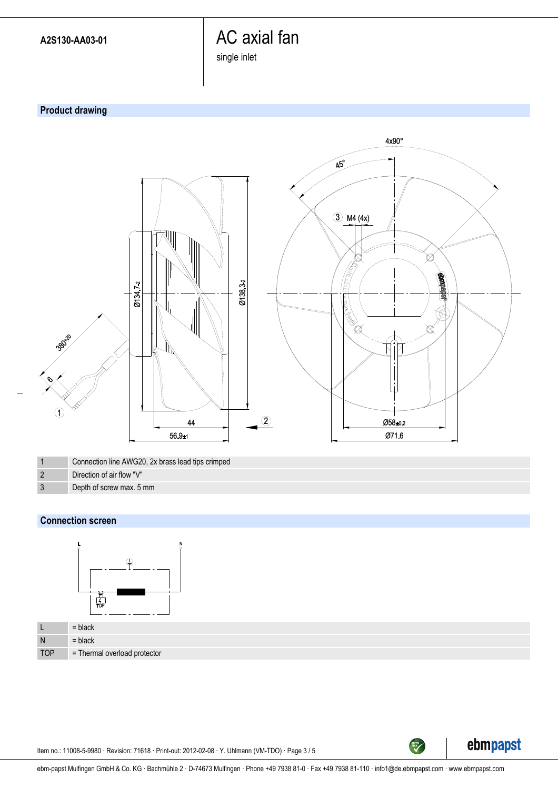# AC axial fan

single inlet

### **Product drawing**



1 Connection line AWG20, 2x brass lead tips crimped

- 2 Direction of air flow "V"
- 3 Depth of screw max. 5 mm

### **Connection screen**



| └          | $=$ black                           |
|------------|-------------------------------------|
| N          | $=$ black                           |
| <b>TOP</b> | $\sim$ = Thermal overload protector |

Item no.: 11008-5-9980 · Revision: 71618 · Print-out: 2012-02-08 · Y. Uhlmann (VM-TDO) · Page 3 / 5



TECH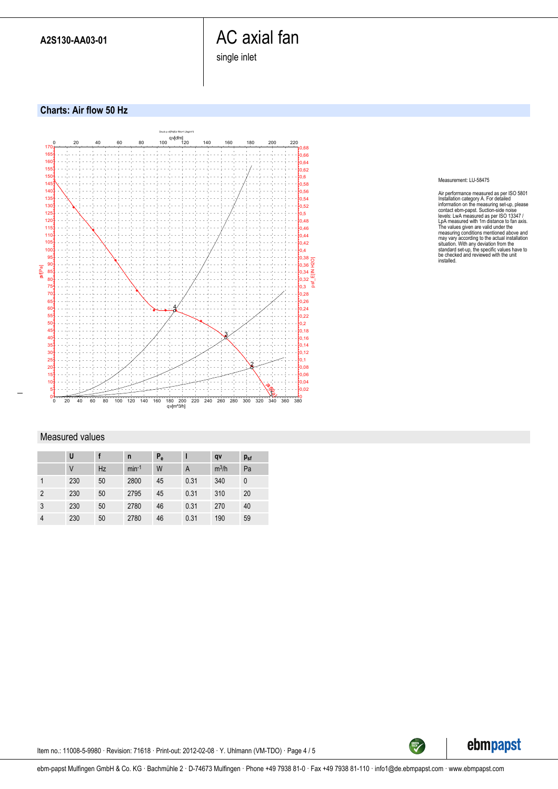# AC axial fan

single inlet

**Charts: Air flow 50 Hz**



#### Measured values

|                | U      |    | n       | $P_e$ |      | qv      | $p_{sf}$ |
|----------------|--------|----|---------|-------|------|---------|----------|
|                | $\vee$ | Hz | $min-1$ | W     | A    | $m^3/h$ | Pa       |
|                | 230    | 50 | 2800    | 45    | 0.31 | 340     | 0        |
| $\overline{2}$ | 230    | 50 | 2795    | 45    | 0.31 | 310     | 20       |
| 3              | 230    | 50 | 2780    | 46    | 0.31 | 270     | 40       |
| $\overline{4}$ | 230    | 50 | 2780    | 46    | 0.31 | 190     | 59       |

Measurement: LU-58475

Air performance measured as per ISO 5801<br>Installation category A. For detailed inclonediation and information on the measuring set-up, please<br>contact ebrn-papst. Suction-side noise<br>levels: LwA measured as per ISO 13347 /<br>L



TECH

Item no.: 11008-5-9980 · Revision: 71618 · Print-out: 2012-02-08 · Y. Uhlmann (VM-TDO) · Page 4 / 5

ebm-papst Mulfingen GmbH & Co. KG · Bachmühle 2 · D-74673 Mulfingen · Phone +49 7938 81-0 · Fax +49 7938 81-110 · info1@de.ebmpapst.com · www.ebmpapst.com